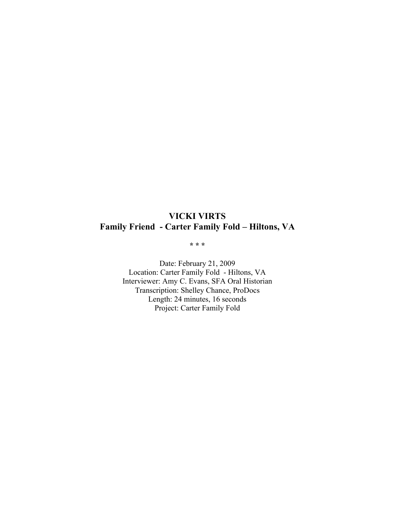# **VICKI VIRTS Family Friend - Carter Family Fold – Hiltons, VA**

**\* \* \***

Date: February 21, 2009 Location: Carter Family Fold - Hiltons, VA Interviewer: Amy C. Evans, SFA Oral Historian Transcription: Shelley Chance, ProDocs Length: 24 minutes, 16 seconds Project: Carter Family Fold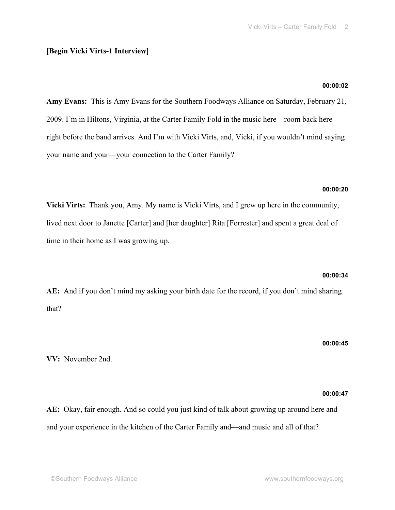## **[Begin Vicki Virts-1 Interview]**

## **00:00:02**

**Amy Evans:** This is Amy Evans for the Southern Foodways Alliance on Saturday, February 21, 2009. I'm in Hiltons, Virginia, at the Carter Family Fold in the music here—room back here right before the band arrives. And I'm with Vicki Virts, and, Vicki, if you wouldn't mind saying your name and your—your connection to the Carter Family?

## **00:00:20**

**Vicki Virts:** Thank you, Amy. My name is Vicki Virts, and I grew up here in the community, lived next door to Janette [Carter] and [her daughter] Rita [Forrester] and spent a great deal of time in their home as I was growing up.

## **00:00:34**

**AE:** And if you don't mind my asking your birth date for the record, if you don't mind sharing that?

**00:00:45**

**VV:** November 2nd.

## **00:00:47**

**AE:** Okay, fair enough. And so could you just kind of talk about growing up around here and and your experience in the kitchen of the Carter Family and—and music and all of that?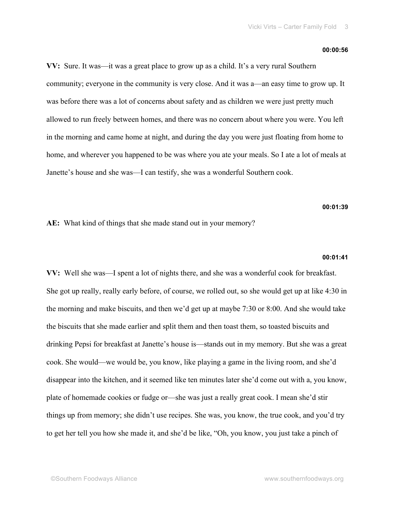#### **00:00:56**

**VV:** Sure. It was—it was a great place to grow up as a child. It's a very rural Southern community; everyone in the community is very close. And it was a—an easy time to grow up. It was before there was a lot of concerns about safety and as children we were just pretty much allowed to run freely between homes, and there was no concern about where you were. You left in the morning and came home at night, and during the day you were just floating from home to home, and wherever you happened to be was where you ate your meals. So I ate a lot of meals at Janette's house and she was—I can testify, she was a wonderful Southern cook.

## **00:01:39**

**AE:** What kind of things that she made stand out in your memory?

#### **00:01:41**

**VV:** Well she was—I spent a lot of nights there, and she was a wonderful cook for breakfast. She got up really, really early before, of course, we rolled out, so she would get up at like 4:30 in the morning and make biscuits, and then we'd get up at maybe 7:30 or 8:00. And she would take the biscuits that she made earlier and split them and then toast them, so toasted biscuits and drinking Pepsi for breakfast at Janette's house is—stands out in my memory. But she was a great cook. She would—we would be, you know, like playing a game in the living room, and she'd disappear into the kitchen, and it seemed like ten minutes later she'd come out with a, you know, plate of homemade cookies or fudge or—she was just a really great cook. I mean she'd stir things up from memory; she didn't use recipes. She was, you know, the true cook, and you'd try to get her tell you how she made it, and she'd be like, "Oh, you know, you just take a pinch of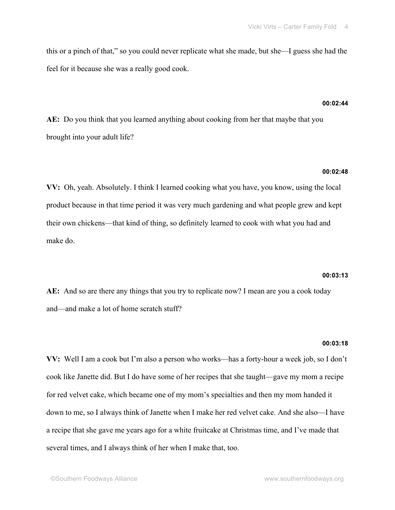this or a pinch of that," so you could never replicate what she made, but she—I guess she had the feel for it because she was a really good cook.

## **00:02:44**

**AE:** Do you think that you learned anything about cooking from her that maybe that you brought into your adult life?

#### **00:02:48**

**VV:** Oh, yeah. Absolutely. I think I learned cooking what you have, you know, using the local product because in that time period it was very much gardening and what people grew and kept their own chickens—that kind of thing, so definitely learned to cook with what you had and make do.

#### **00:03:13**

**AE:** And so are there any things that you try to replicate now? I mean are you a cook today and—and make a lot of home scratch stuff?

#### **00:03:18**

**VV:** Well I am a cook but I'm also a person who works—has a forty-hour a week job, so I don't cook like Janette did. But I do have some of her recipes that she taught—gave my mom a recipe for red velvet cake, which became one of my mom's specialties and then my mom handed it down to me, so I always think of Janette when I make her red velvet cake. And she also—I have a recipe that she gave me years ago for a white fruitcake at Christmas time, and I've made that several times, and I always think of her when I make that, too.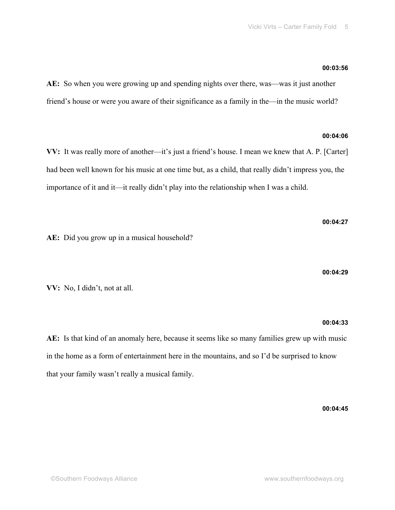## **00:03:56**

**AE:** So when you were growing up and spending nights over there, was—was it just another friend's house or were you aware of their significance as a family in the—in the music world?

## **00:04:06**

**VV:** It was really more of another—it's just a friend's house. I mean we knew that A. P. [Carter] had been well known for his music at one time but, as a child, that really didn't impress you, the importance of it and it—it really didn't play into the relationship when I was a child.

**AE:** Did you grow up in a musical household?

**00:04:29**

**00:04:27**

**VV:** No, I didn't, not at all.

## **00:04:33**

**AE:** Is that kind of an anomaly here, because it seems like so many families grew up with music in the home as a form of entertainment here in the mountains, and so I'd be surprised to know that your family wasn't really a musical family.

**00:04:45**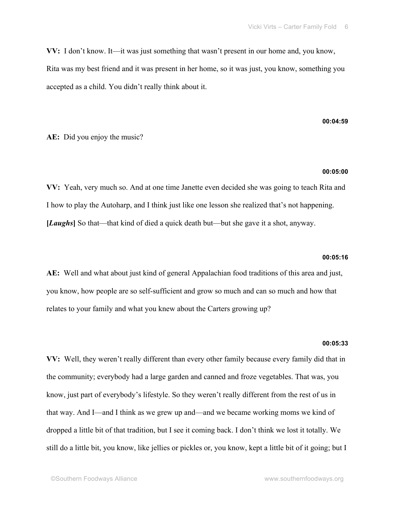**VV:** I don't know. It—it was just something that wasn't present in our home and, you know, Rita was my best friend and it was present in her home, so it was just, you know, something you accepted as a child. You didn't really think about it.

## **AE:** Did you enjoy the music?

#### **00:05:00**

**00:04:59**

**VV:** Yeah, very much so. And at one time Janette even decided she was going to teach Rita and I how to play the Autoharp, and I think just like one lesson she realized that's not happening. **[***Laughs***]** So that—that kind of died a quick death but—but she gave it a shot, anyway.

## **00:05:16**

**AE:** Well and what about just kind of general Appalachian food traditions of this area and just, you know, how people are so self-sufficient and grow so much and can so much and how that relates to your family and what you knew about the Carters growing up?

#### **00:05:33**

**VV:** Well, they weren't really different than every other family because every family did that in the community; everybody had a large garden and canned and froze vegetables. That was, you know, just part of everybody's lifestyle. So they weren't really different from the rest of us in that way. And I—and I think as we grew up and—and we became working moms we kind of dropped a little bit of that tradition, but I see it coming back. I don't think we lost it totally. We still do a little bit, you know, like jellies or pickles or, you know, kept a little bit of it going; but I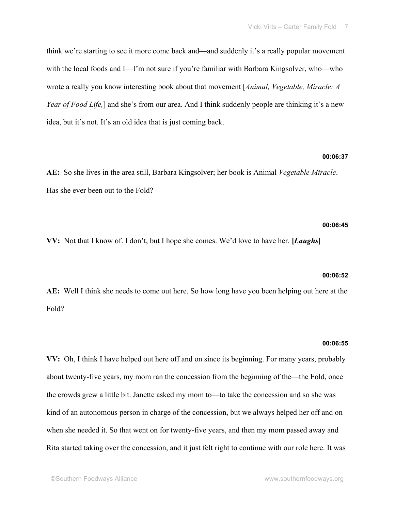think we're starting to see it more come back and—and suddenly it's a really popular movement with the local foods and I—I'm not sure if you're familiar with Barbara Kingsolver, who—who wrote a really you know interesting book about that movement [*Animal, Vegetable, Miracle: A Year of Food Life*,] and she's from our area. And I think suddenly people are thinking it's a new idea, but it's not. It's an old idea that is just coming back.

#### **00:06:37**

**AE:** So she lives in the area still, Barbara Kingsolver; her book is Animal *Vegetable Miracle*. Has she ever been out to the Fold?

## **00:06:45**

**VV:** Not that I know of. I don't, but I hope she comes. We'd love to have her. **[***Laughs***]**

#### **00:06:52**

**AE:** Well I think she needs to come out here. So how long have you been helping out here at the Fold?

#### **00:06:55**

**VV:** Oh, I think I have helped out here off and on since its beginning. For many years, probably about twenty-five years, my mom ran the concession from the beginning of the—the Fold, once the crowds grew a little bit. Janette asked my mom to—to take the concession and so she was kind of an autonomous person in charge of the concession, but we always helped her off and on when she needed it. So that went on for twenty-five years, and then my mom passed away and Rita started taking over the concession, and it just felt right to continue with our role here. It was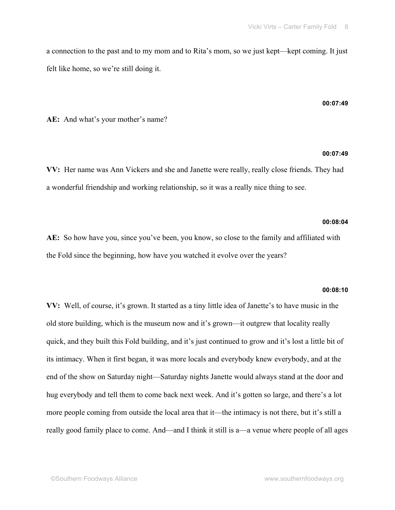a connection to the past and to my mom and to Rita's mom, so we just kept—kept coming. It just felt like home, so we're still doing it.

#### **00:07:49**

**AE:** And what's your mother's name?

## **00:07:49**

**VV:** Her name was Ann Vickers and she and Janette were really, really close friends. They had a wonderful friendship and working relationship, so it was a really nice thing to see.

## **00:08:04**

**AE:** So how have you, since you've been, you know, so close to the family and affiliated with the Fold since the beginning, how have you watched it evolve over the years?

#### **00:08:10**

**VV:** Well, of course, it's grown. It started as a tiny little idea of Janette's to have music in the old store building, which is the museum now and it's grown—it outgrew that locality really quick, and they built this Fold building, and it's just continued to grow and it's lost a little bit of its intimacy. When it first began, it was more locals and everybody knew everybody, and at the end of the show on Saturday night—Saturday nights Janette would always stand at the door and hug everybody and tell them to come back next week. And it's gotten so large, and there's a lot more people coming from outside the local area that it—the intimacy is not there, but it's still a really good family place to come. And—and I think it still is a—a venue where people of all ages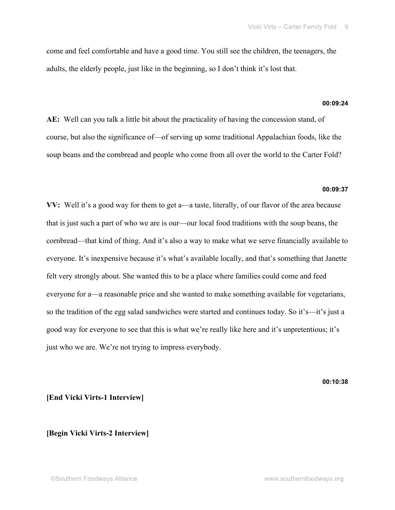come and feel comfortable and have a good time. You still see the children, the teenagers, the adults, the elderly people, just like in the beginning, so I don't think it's lost that.

## **00:09:24**

**AE:** Well can you talk a little bit about the practicality of having the concession stand, of course, but also the significance of—of serving up some traditional Appalachian foods, like the soup beans and the cornbread and people who come from all over the world to the Carter Fold?

#### **00:09:37**

**VV:** Well it's a good way for them to get a—a taste, literally, of our flavor of the area because that is just such a part of who we are is our—our local food traditions with the soup beans, the cornbread—that kind of thing. And it's also a way to make what we serve financially available to everyone. It's inexpensive because it's what's available locally, and that's something that Janette felt very strongly about. She wanted this to be a place where families could come and feed everyone for a—a reasonable price and she wanted to make something available for vegetarians, so the tradition of the egg salad sandwiches were started and continues today. So it's—it's just a good way for everyone to see that this is what we're really like here and it's unpretentious; it's just who we are. We're not trying to impress everybody.

**00:10:38**

## **[End Vicki Virts-1 Interview]**

## **[Begin Vicki Virts-2 Interview]**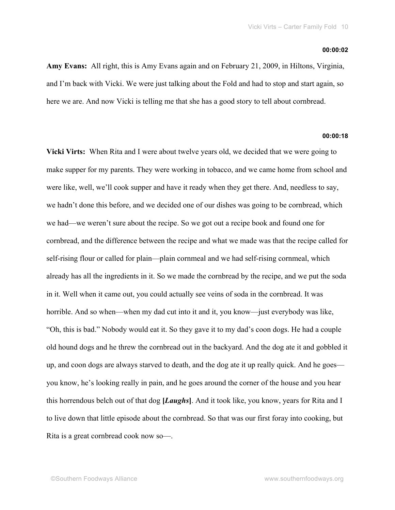#### **00:00:02**

**Amy Evans:** All right, this is Amy Evans again and on February 21, 2009, in Hiltons, Virginia, and I'm back with Vicki. We were just talking about the Fold and had to stop and start again, so here we are. And now Vicki is telling me that she has a good story to tell about cornbread.

## **00:00:18**

**Vicki Virts:** When Rita and I were about twelve years old, we decided that we were going to make supper for my parents. They were working in tobacco, and we came home from school and were like, well, we'll cook supper and have it ready when they get there. And, needless to say, we hadn't done this before, and we decided one of our dishes was going to be cornbread, which we had—we weren't sure about the recipe. So we got out a recipe book and found one for cornbread, and the difference between the recipe and what we made was that the recipe called for self-rising flour or called for plain—plain cornmeal and we had self-rising cornmeal, which already has all the ingredients in it. So we made the cornbread by the recipe, and we put the soda in it. Well when it came out, you could actually see veins of soda in the cornbread. It was horrible. And so when—when my dad cut into it and it, you know—just everybody was like, "Oh, this is bad." Nobody would eat it. So they gave it to my dad's coon dogs. He had a couple old hound dogs and he threw the cornbread out in the backyard. And the dog ate it and gobbled it up, and coon dogs are always starved to death, and the dog ate it up really quick. And he goes you know, he's looking really in pain, and he goes around the corner of the house and you hear this horrendous belch out of that dog **[***Laughs***]**. And it took like, you know, years for Rita and I to live down that little episode about the cornbread. So that was our first foray into cooking, but Rita is a great cornbread cook now so—.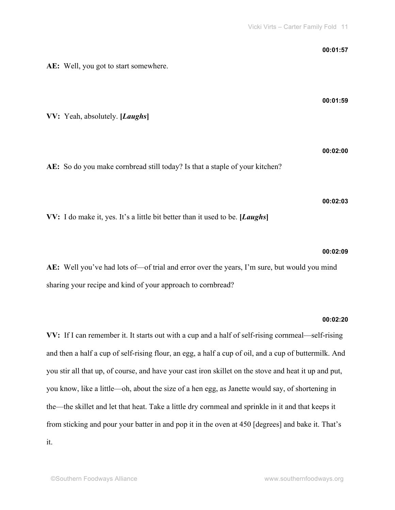| AE: Well, you got to start somewhere.                                                                                                                      | 00:01:57 |
|------------------------------------------------------------------------------------------------------------------------------------------------------------|----------|
| VV: Yeah, absolutely. [Laughs]                                                                                                                             | 00:01:59 |
| AE: So do you make cornbread still today? Is that a staple of your kitchen?                                                                                | 00:02:00 |
| VV: I do make it, yes. It's a little bit better than it used to be. [Laughs]                                                                               | 00:02:03 |
| AE: Well you've had lots of—of trial and error over the years, I'm sure, but would you mind<br>sharing your recipe and kind of your approach to cornbread? | 00:02:09 |
|                                                                                                                                                            | 00:02:20 |

**VV:** If I can remember it. It starts out with a cup and a half of self-rising cornmeal—self-rising and then a half a cup of self-rising flour, an egg, a half a cup of oil, and a cup of buttermilk. And you stir all that up, of course, and have your cast iron skillet on the stove and heat it up and put, you know, like a little—oh, about the size of a hen egg, as Janette would say, of shortening in the—the skillet and let that heat. Take a little dry cornmeal and sprinkle in it and that keeps it from sticking and pour your batter in and pop it in the oven at 450 [degrees] and bake it. That's it.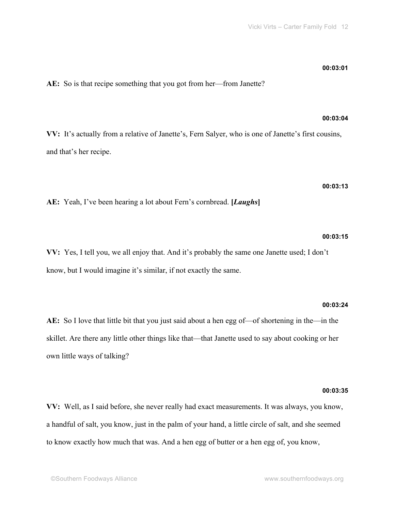own little ways of talking?

**00:03:35 VV:** Well, as I said before, she never really had exact measurements. It was always, you know, a handful of salt, you know, just in the palm of your hand, a little circle of salt, and she seemed

**AE:** So I love that little bit that you just said about a hen egg of—of shortening in the—in the skillet. Are there any little other things like that—that Janette used to say about cooking or her

to know exactly how much that was. And a hen egg of butter or a hen egg of, you know,

know, but I would imagine it's similar, if not exactly the same.

**VV:** Yes, I tell you, we all enjoy that. And it's probably the same one Janette used; I don't

**AE:** So is that recipe something that you got from her—from Janette?

**VV:** It's actually from a relative of Janette's, Fern Salyer, who is one of Janette's first cousins, and that's her recipe.

**AE:** Yeah, I've been hearing a lot about Fern's cornbread. **[***Laughs***]**

## **00:03:15**

**00:03:24**

**00:03:13**

#### **00:03:01**

**00:03:04**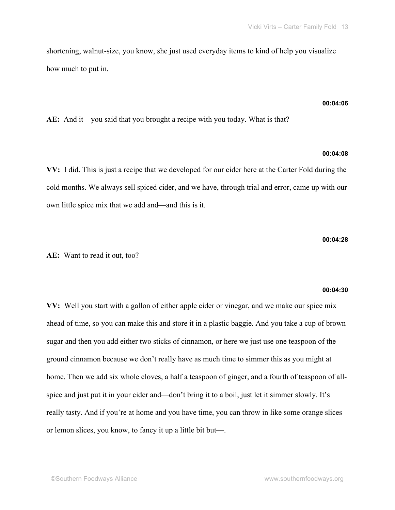shortening, walnut-size, you know, she just used everyday items to kind of help you visualize how much to put in.

#### **00:04:06**

**AE:** And it—you said that you brought a recipe with you today. What is that?

## **00:04:08**

**VV:** I did. This is just a recipe that we developed for our cider here at the Carter Fold during the cold months. We always sell spiced cider, and we have, through trial and error, came up with our own little spice mix that we add and—and this is it.

#### **00:04:28**

## **AE:** Want to read it out, too?

#### **00:04:30**

**VV:** Well you start with a gallon of either apple cider or vinegar, and we make our spice mix ahead of time, so you can make this and store it in a plastic baggie. And you take a cup of brown sugar and then you add either two sticks of cinnamon, or here we just use one teaspoon of the ground cinnamon because we don't really have as much time to simmer this as you might at home. Then we add six whole cloves, a half a teaspoon of ginger, and a fourth of teaspoon of allspice and just put it in your cider and—don't bring it to a boil, just let it simmer slowly. It's really tasty. And if you're at home and you have time, you can throw in like some orange slices or lemon slices, you know, to fancy it up a little bit but—.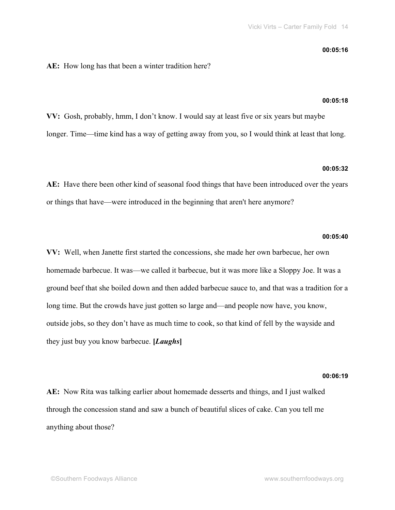#### **00:05:16**

### **AE:** How long has that been a winter tradition here?

#### **00:05:18**

**VV:** Gosh, probably, hmm, I don't know. I would say at least five or six years but maybe longer. Time—time kind has a way of getting away from you, so I would think at least that long.

#### **00:05:32**

**AE:** Have there been other kind of seasonal food things that have been introduced over the years or things that have—were introduced in the beginning that aren't here anymore?

#### **00:05:40**

**VV:** Well, when Janette first started the concessions, she made her own barbecue, her own homemade barbecue. It was—we called it barbecue, but it was more like a Sloppy Joe. It was a ground beef that she boiled down and then added barbecue sauce to, and that was a tradition for a long time. But the crowds have just gotten so large and—and people now have, you know, outside jobs, so they don't have as much time to cook, so that kind of fell by the wayside and they just buy you know barbecue. **[***Laughs***]**

## **00:06:19**

**AE:** Now Rita was talking earlier about homemade desserts and things, and I just walked through the concession stand and saw a bunch of beautiful slices of cake. Can you tell me anything about those?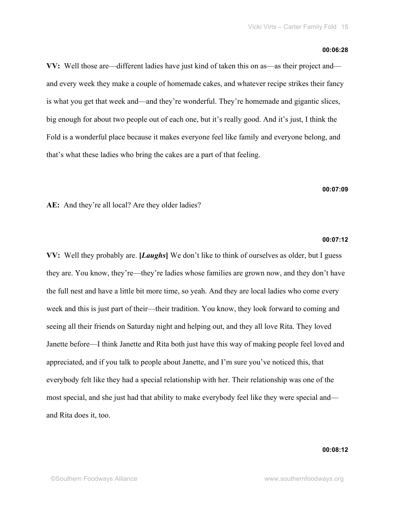#### **00:06:28**

**VV:** Well those are—different ladies have just kind of taken this on as—as their project and and every week they make a couple of homemade cakes, and whatever recipe strikes their fancy is what you get that week and—and they're wonderful. They're homemade and gigantic slices, big enough for about two people out of each one, but it's really good. And it's just, I think the Fold is a wonderful place because it makes everyone feel like family and everyone belong, and that's what these ladies who bring the cakes are a part of that feeling.

## **00:07:09**

**AE:** And they're all local? Are they older ladies?

#### **00:07:12**

**VV:** Well they probably are. **[***Laughs***]** We don't like to think of ourselves as older, but I guess they are. You know, they're—they're ladies whose families are grown now, and they don't have the full nest and have a little bit more time, so yeah. And they are local ladies who come every week and this is just part of their—their tradition. You know, they look forward to coming and seeing all their friends on Saturday night and helping out, and they all love Rita. They loved Janette before—I think Janette and Rita both just have this way of making people feel loved and appreciated, and if you talk to people about Janette, and I'm sure you've noticed this, that everybody felt like they had a special relationship with her. Their relationship was one of the most special, and she just had that ability to make everybody feel like they were special and and Rita does it, too.

## **00:08:12**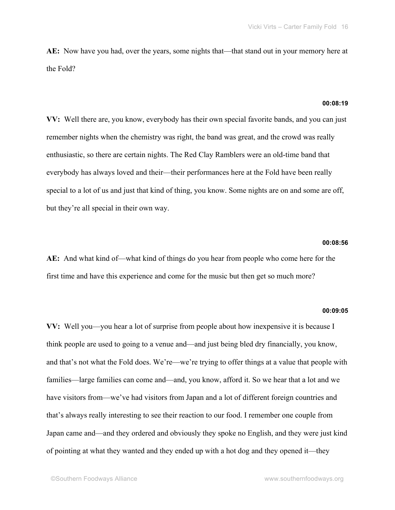**AE:** Now have you had, over the years, some nights that—that stand out in your memory here at the Fold?

## **00:08:19**

**VV:** Well there are, you know, everybody has their own special favorite bands, and you can just remember nights when the chemistry was right, the band was great, and the crowd was really enthusiastic, so there are certain nights. The Red Clay Ramblers were an old-time band that everybody has always loved and their—their performances here at the Fold have been really special to a lot of us and just that kind of thing, you know. Some nights are on and some are off, but they're all special in their own way.

## **00:08:56**

**AE:** And what kind of—what kind of things do you hear from people who come here for the first time and have this experience and come for the music but then get so much more?

#### **00:09:05**

**VV:** Well you—you hear a lot of surprise from people about how inexpensive it is because I think people are used to going to a venue and—and just being bled dry financially, you know, and that's not what the Fold does. We're—we're trying to offer things at a value that people with families—large families can come and—and, you know, afford it. So we hear that a lot and we have visitors from—we've had visitors from Japan and a lot of different foreign countries and that's always really interesting to see their reaction to our food. I remember one couple from Japan came and—and they ordered and obviously they spoke no English, and they were just kind of pointing at what they wanted and they ended up with a hot dog and they opened it—they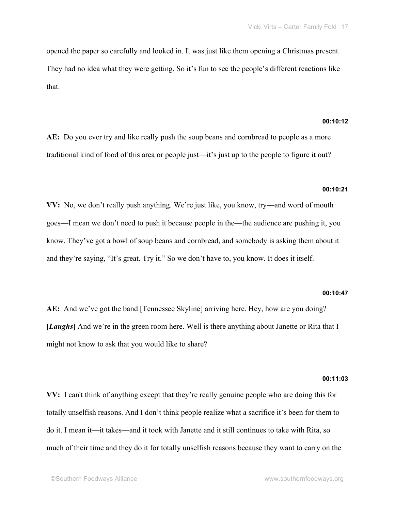opened the paper so carefully and looked in. It was just like them opening a Christmas present. They had no idea what they were getting. So it's fun to see the people's different reactions like that.

## **00:10:12**

**AE:** Do you ever try and like really push the soup beans and cornbread to people as a more traditional kind of food of this area or people just—it's just up to the people to figure it out?

## **00:10:21**

**VV:** No, we don't really push anything. We're just like, you know, try—and word of mouth goes—I mean we don't need to push it because people in the—the audience are pushing it, you know. They've got a bowl of soup beans and cornbread, and somebody is asking them about it and they're saying, "It's great. Try it." So we don't have to, you know. It does it itself.

#### **00:10:47**

**AE:** And we've got the band [Tennessee Skyline] arriving here. Hey, how are you doing? **[***Laughs***]** And we're in the green room here. Well is there anything about Janette or Rita that I might not know to ask that you would like to share?

#### **00:11:03**

**VV:** I can't think of anything except that they're really genuine people who are doing this for totally unselfish reasons. And I don't think people realize what a sacrifice it's been for them to do it. I mean it—it takes—and it took with Janette and it still continues to take with Rita, so much of their time and they do it for totally unselfish reasons because they want to carry on the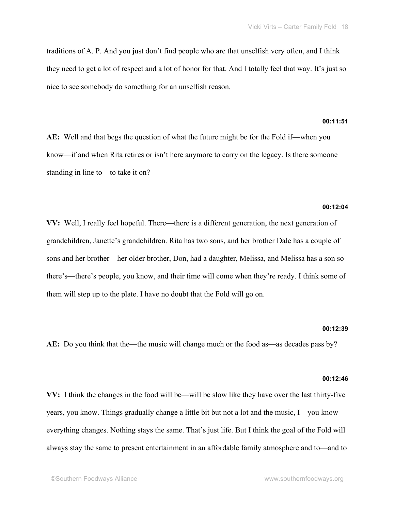traditions of A. P. And you just don't find people who are that unselfish very often, and I think they need to get a lot of respect and a lot of honor for that. And I totally feel that way. It's just so nice to see somebody do something for an unselfish reason.

## **00:11:51**

**AE:** Well and that begs the question of what the future might be for the Fold if—when you know—if and when Rita retires or isn't here anymore to carry on the legacy. Is there someone standing in line to—to take it on?

#### **00:12:04**

**VV:** Well, I really feel hopeful. There—there is a different generation, the next generation of grandchildren, Janette's grandchildren. Rita has two sons, and her brother Dale has a couple of sons and her brother—her older brother, Don, had a daughter, Melissa, and Melissa has a son so there's—there's people, you know, and their time will come when they're ready. I think some of them will step up to the plate. I have no doubt that the Fold will go on.

#### **00:12:39**

**AE:** Do you think that the—the music will change much or the food as—as decades pass by?

### **00:12:46**

**VV:** I think the changes in the food will be—will be slow like they have over the last thirty-five years, you know. Things gradually change a little bit but not a lot and the music, I—you know everything changes. Nothing stays the same. That's just life. But I think the goal of the Fold will always stay the same to present entertainment in an affordable family atmosphere and to—and to